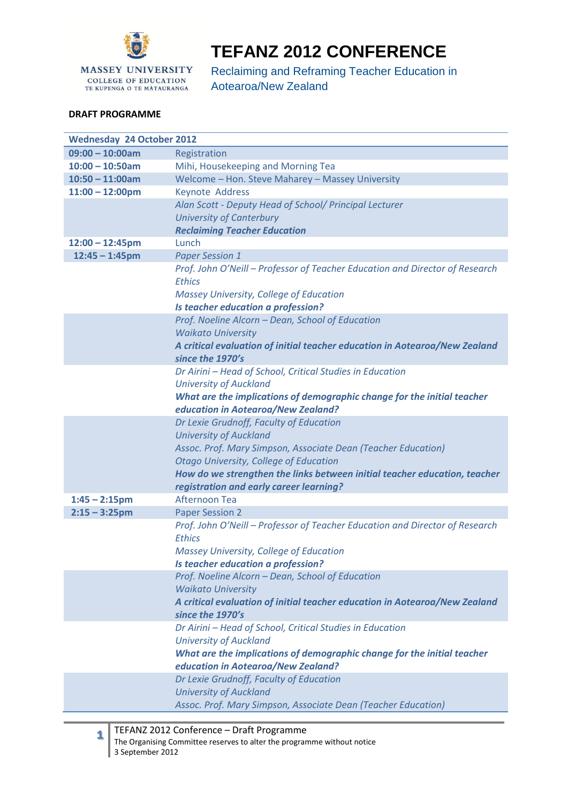

## **TEFANZ 2012 CONFERENCE**

Reclaiming and Reframing Teacher Education in Aotearoa/New Zealand

## **DRAFT PROGRAMME**

| $09:00 - 10:00am$<br>Registration<br>Mihi, Housekeeping and Morning Tea<br>$10:00 - 10:50am$<br>Welcome - Hon. Steve Maharey - Massey University<br>$10:50 - 11:00am$<br>Keynote Address<br>$11:00 - 12:00$ pm<br>Alan Scott - Deputy Head of School/ Principal Lecturer<br><b>University of Canterbury</b><br><b>Reclaiming Teacher Education</b><br>Lunch<br>$12:00 - 12:45$ pm<br>$12:45 - 1:45$ pm<br><b>Paper Session 1</b><br>Prof. John O'Neill - Professor of Teacher Education and Director of Research<br><b>Ethics</b><br>Massey University, College of Education<br>Is teacher education a profession?<br>Prof. Noeline Alcorn - Dean, School of Education<br><b>Waikato University</b><br>A critical evaluation of initial teacher education in Aotearoa/New Zealand<br>since the 1970's<br>Dr Airini - Head of School, Critical Studies in Education<br><b>University of Auckland</b><br>What are the implications of demographic change for the initial teacher<br>education in Aotearoa/New Zealand?<br>Dr Lexie Grudnoff, Faculty of Education<br><b>University of Auckland</b><br>Assoc. Prof. Mary Simpson, Associate Dean (Teacher Education)<br><b>Otago University, College of Education</b><br>How do we strengthen the links between initial teacher education, teacher<br>registration and early career learning?<br>$1:45 - 2:15$ pm<br>Afternoon Tea<br>$2:15 - 3:25$ pm<br><b>Paper Session 2</b><br>Prof. John O'Neill - Professor of Teacher Education and Director of Research<br><b>Ethics</b><br>Massey University, College of Education<br>Is teacher education a profession?<br>Prof. Noeline Alcorn - Dean, School of Education<br><b>Waikato University</b><br>A critical evaluation of initial teacher education in Aotearoa/New Zealand<br>since the 1970's<br>Dr Airini - Head of School, Critical Studies in Education<br><b>University of Auckland</b> | <b>Wednesday 24 October 2012</b> |                                                                         |  |
|--------------------------------------------------------------------------------------------------------------------------------------------------------------------------------------------------------------------------------------------------------------------------------------------------------------------------------------------------------------------------------------------------------------------------------------------------------------------------------------------------------------------------------------------------------------------------------------------------------------------------------------------------------------------------------------------------------------------------------------------------------------------------------------------------------------------------------------------------------------------------------------------------------------------------------------------------------------------------------------------------------------------------------------------------------------------------------------------------------------------------------------------------------------------------------------------------------------------------------------------------------------------------------------------------------------------------------------------------------------------------------------------------------------------------------------------------------------------------------------------------------------------------------------------------------------------------------------------------------------------------------------------------------------------------------------------------------------------------------------------------------------------------------------------------------------------------------------------------------------------------------------------------|----------------------------------|-------------------------------------------------------------------------|--|
|                                                                                                                                                                                                                                                                                                                                                                                                                                                                                                                                                                                                                                                                                                                                                                                                                                                                                                                                                                                                                                                                                                                                                                                                                                                                                                                                                                                                                                                                                                                                                                                                                                                                                                                                                                                                                                                                                                  |                                  |                                                                         |  |
|                                                                                                                                                                                                                                                                                                                                                                                                                                                                                                                                                                                                                                                                                                                                                                                                                                                                                                                                                                                                                                                                                                                                                                                                                                                                                                                                                                                                                                                                                                                                                                                                                                                                                                                                                                                                                                                                                                  |                                  |                                                                         |  |
|                                                                                                                                                                                                                                                                                                                                                                                                                                                                                                                                                                                                                                                                                                                                                                                                                                                                                                                                                                                                                                                                                                                                                                                                                                                                                                                                                                                                                                                                                                                                                                                                                                                                                                                                                                                                                                                                                                  |                                  |                                                                         |  |
|                                                                                                                                                                                                                                                                                                                                                                                                                                                                                                                                                                                                                                                                                                                                                                                                                                                                                                                                                                                                                                                                                                                                                                                                                                                                                                                                                                                                                                                                                                                                                                                                                                                                                                                                                                                                                                                                                                  |                                  |                                                                         |  |
|                                                                                                                                                                                                                                                                                                                                                                                                                                                                                                                                                                                                                                                                                                                                                                                                                                                                                                                                                                                                                                                                                                                                                                                                                                                                                                                                                                                                                                                                                                                                                                                                                                                                                                                                                                                                                                                                                                  |                                  |                                                                         |  |
|                                                                                                                                                                                                                                                                                                                                                                                                                                                                                                                                                                                                                                                                                                                                                                                                                                                                                                                                                                                                                                                                                                                                                                                                                                                                                                                                                                                                                                                                                                                                                                                                                                                                                                                                                                                                                                                                                                  |                                  |                                                                         |  |
|                                                                                                                                                                                                                                                                                                                                                                                                                                                                                                                                                                                                                                                                                                                                                                                                                                                                                                                                                                                                                                                                                                                                                                                                                                                                                                                                                                                                                                                                                                                                                                                                                                                                                                                                                                                                                                                                                                  |                                  |                                                                         |  |
|                                                                                                                                                                                                                                                                                                                                                                                                                                                                                                                                                                                                                                                                                                                                                                                                                                                                                                                                                                                                                                                                                                                                                                                                                                                                                                                                                                                                                                                                                                                                                                                                                                                                                                                                                                                                                                                                                                  |                                  |                                                                         |  |
|                                                                                                                                                                                                                                                                                                                                                                                                                                                                                                                                                                                                                                                                                                                                                                                                                                                                                                                                                                                                                                                                                                                                                                                                                                                                                                                                                                                                                                                                                                                                                                                                                                                                                                                                                                                                                                                                                                  |                                  |                                                                         |  |
|                                                                                                                                                                                                                                                                                                                                                                                                                                                                                                                                                                                                                                                                                                                                                                                                                                                                                                                                                                                                                                                                                                                                                                                                                                                                                                                                                                                                                                                                                                                                                                                                                                                                                                                                                                                                                                                                                                  |                                  |                                                                         |  |
|                                                                                                                                                                                                                                                                                                                                                                                                                                                                                                                                                                                                                                                                                                                                                                                                                                                                                                                                                                                                                                                                                                                                                                                                                                                                                                                                                                                                                                                                                                                                                                                                                                                                                                                                                                                                                                                                                                  |                                  |                                                                         |  |
|                                                                                                                                                                                                                                                                                                                                                                                                                                                                                                                                                                                                                                                                                                                                                                                                                                                                                                                                                                                                                                                                                                                                                                                                                                                                                                                                                                                                                                                                                                                                                                                                                                                                                                                                                                                                                                                                                                  |                                  |                                                                         |  |
|                                                                                                                                                                                                                                                                                                                                                                                                                                                                                                                                                                                                                                                                                                                                                                                                                                                                                                                                                                                                                                                                                                                                                                                                                                                                                                                                                                                                                                                                                                                                                                                                                                                                                                                                                                                                                                                                                                  |                                  |                                                                         |  |
|                                                                                                                                                                                                                                                                                                                                                                                                                                                                                                                                                                                                                                                                                                                                                                                                                                                                                                                                                                                                                                                                                                                                                                                                                                                                                                                                                                                                                                                                                                                                                                                                                                                                                                                                                                                                                                                                                                  |                                  |                                                                         |  |
|                                                                                                                                                                                                                                                                                                                                                                                                                                                                                                                                                                                                                                                                                                                                                                                                                                                                                                                                                                                                                                                                                                                                                                                                                                                                                                                                                                                                                                                                                                                                                                                                                                                                                                                                                                                                                                                                                                  |                                  |                                                                         |  |
|                                                                                                                                                                                                                                                                                                                                                                                                                                                                                                                                                                                                                                                                                                                                                                                                                                                                                                                                                                                                                                                                                                                                                                                                                                                                                                                                                                                                                                                                                                                                                                                                                                                                                                                                                                                                                                                                                                  |                                  |                                                                         |  |
|                                                                                                                                                                                                                                                                                                                                                                                                                                                                                                                                                                                                                                                                                                                                                                                                                                                                                                                                                                                                                                                                                                                                                                                                                                                                                                                                                                                                                                                                                                                                                                                                                                                                                                                                                                                                                                                                                                  |                                  |                                                                         |  |
|                                                                                                                                                                                                                                                                                                                                                                                                                                                                                                                                                                                                                                                                                                                                                                                                                                                                                                                                                                                                                                                                                                                                                                                                                                                                                                                                                                                                                                                                                                                                                                                                                                                                                                                                                                                                                                                                                                  |                                  |                                                                         |  |
|                                                                                                                                                                                                                                                                                                                                                                                                                                                                                                                                                                                                                                                                                                                                                                                                                                                                                                                                                                                                                                                                                                                                                                                                                                                                                                                                                                                                                                                                                                                                                                                                                                                                                                                                                                                                                                                                                                  |                                  |                                                                         |  |
|                                                                                                                                                                                                                                                                                                                                                                                                                                                                                                                                                                                                                                                                                                                                                                                                                                                                                                                                                                                                                                                                                                                                                                                                                                                                                                                                                                                                                                                                                                                                                                                                                                                                                                                                                                                                                                                                                                  |                                  |                                                                         |  |
|                                                                                                                                                                                                                                                                                                                                                                                                                                                                                                                                                                                                                                                                                                                                                                                                                                                                                                                                                                                                                                                                                                                                                                                                                                                                                                                                                                                                                                                                                                                                                                                                                                                                                                                                                                                                                                                                                                  |                                  |                                                                         |  |
|                                                                                                                                                                                                                                                                                                                                                                                                                                                                                                                                                                                                                                                                                                                                                                                                                                                                                                                                                                                                                                                                                                                                                                                                                                                                                                                                                                                                                                                                                                                                                                                                                                                                                                                                                                                                                                                                                                  |                                  |                                                                         |  |
|                                                                                                                                                                                                                                                                                                                                                                                                                                                                                                                                                                                                                                                                                                                                                                                                                                                                                                                                                                                                                                                                                                                                                                                                                                                                                                                                                                                                                                                                                                                                                                                                                                                                                                                                                                                                                                                                                                  |                                  |                                                                         |  |
|                                                                                                                                                                                                                                                                                                                                                                                                                                                                                                                                                                                                                                                                                                                                                                                                                                                                                                                                                                                                                                                                                                                                                                                                                                                                                                                                                                                                                                                                                                                                                                                                                                                                                                                                                                                                                                                                                                  |                                  |                                                                         |  |
|                                                                                                                                                                                                                                                                                                                                                                                                                                                                                                                                                                                                                                                                                                                                                                                                                                                                                                                                                                                                                                                                                                                                                                                                                                                                                                                                                                                                                                                                                                                                                                                                                                                                                                                                                                                                                                                                                                  |                                  |                                                                         |  |
|                                                                                                                                                                                                                                                                                                                                                                                                                                                                                                                                                                                                                                                                                                                                                                                                                                                                                                                                                                                                                                                                                                                                                                                                                                                                                                                                                                                                                                                                                                                                                                                                                                                                                                                                                                                                                                                                                                  |                                  |                                                                         |  |
|                                                                                                                                                                                                                                                                                                                                                                                                                                                                                                                                                                                                                                                                                                                                                                                                                                                                                                                                                                                                                                                                                                                                                                                                                                                                                                                                                                                                                                                                                                                                                                                                                                                                                                                                                                                                                                                                                                  |                                  |                                                                         |  |
|                                                                                                                                                                                                                                                                                                                                                                                                                                                                                                                                                                                                                                                                                                                                                                                                                                                                                                                                                                                                                                                                                                                                                                                                                                                                                                                                                                                                                                                                                                                                                                                                                                                                                                                                                                                                                                                                                                  |                                  |                                                                         |  |
|                                                                                                                                                                                                                                                                                                                                                                                                                                                                                                                                                                                                                                                                                                                                                                                                                                                                                                                                                                                                                                                                                                                                                                                                                                                                                                                                                                                                                                                                                                                                                                                                                                                                                                                                                                                                                                                                                                  |                                  |                                                                         |  |
|                                                                                                                                                                                                                                                                                                                                                                                                                                                                                                                                                                                                                                                                                                                                                                                                                                                                                                                                                                                                                                                                                                                                                                                                                                                                                                                                                                                                                                                                                                                                                                                                                                                                                                                                                                                                                                                                                                  |                                  |                                                                         |  |
|                                                                                                                                                                                                                                                                                                                                                                                                                                                                                                                                                                                                                                                                                                                                                                                                                                                                                                                                                                                                                                                                                                                                                                                                                                                                                                                                                                                                                                                                                                                                                                                                                                                                                                                                                                                                                                                                                                  |                                  |                                                                         |  |
|                                                                                                                                                                                                                                                                                                                                                                                                                                                                                                                                                                                                                                                                                                                                                                                                                                                                                                                                                                                                                                                                                                                                                                                                                                                                                                                                                                                                                                                                                                                                                                                                                                                                                                                                                                                                                                                                                                  |                                  |                                                                         |  |
|                                                                                                                                                                                                                                                                                                                                                                                                                                                                                                                                                                                                                                                                                                                                                                                                                                                                                                                                                                                                                                                                                                                                                                                                                                                                                                                                                                                                                                                                                                                                                                                                                                                                                                                                                                                                                                                                                                  |                                  |                                                                         |  |
|                                                                                                                                                                                                                                                                                                                                                                                                                                                                                                                                                                                                                                                                                                                                                                                                                                                                                                                                                                                                                                                                                                                                                                                                                                                                                                                                                                                                                                                                                                                                                                                                                                                                                                                                                                                                                                                                                                  |                                  |                                                                         |  |
|                                                                                                                                                                                                                                                                                                                                                                                                                                                                                                                                                                                                                                                                                                                                                                                                                                                                                                                                                                                                                                                                                                                                                                                                                                                                                                                                                                                                                                                                                                                                                                                                                                                                                                                                                                                                                                                                                                  |                                  |                                                                         |  |
|                                                                                                                                                                                                                                                                                                                                                                                                                                                                                                                                                                                                                                                                                                                                                                                                                                                                                                                                                                                                                                                                                                                                                                                                                                                                                                                                                                                                                                                                                                                                                                                                                                                                                                                                                                                                                                                                                                  |                                  |                                                                         |  |
|                                                                                                                                                                                                                                                                                                                                                                                                                                                                                                                                                                                                                                                                                                                                                                                                                                                                                                                                                                                                                                                                                                                                                                                                                                                                                                                                                                                                                                                                                                                                                                                                                                                                                                                                                                                                                                                                                                  |                                  |                                                                         |  |
|                                                                                                                                                                                                                                                                                                                                                                                                                                                                                                                                                                                                                                                                                                                                                                                                                                                                                                                                                                                                                                                                                                                                                                                                                                                                                                                                                                                                                                                                                                                                                                                                                                                                                                                                                                                                                                                                                                  |                                  |                                                                         |  |
|                                                                                                                                                                                                                                                                                                                                                                                                                                                                                                                                                                                                                                                                                                                                                                                                                                                                                                                                                                                                                                                                                                                                                                                                                                                                                                                                                                                                                                                                                                                                                                                                                                                                                                                                                                                                                                                                                                  |                                  |                                                                         |  |
|                                                                                                                                                                                                                                                                                                                                                                                                                                                                                                                                                                                                                                                                                                                                                                                                                                                                                                                                                                                                                                                                                                                                                                                                                                                                                                                                                                                                                                                                                                                                                                                                                                                                                                                                                                                                                                                                                                  |                                  | What are the implications of demographic change for the initial teacher |  |
| education in Aotearoa/New Zealand?                                                                                                                                                                                                                                                                                                                                                                                                                                                                                                                                                                                                                                                                                                                                                                                                                                                                                                                                                                                                                                                                                                                                                                                                                                                                                                                                                                                                                                                                                                                                                                                                                                                                                                                                                                                                                                                               |                                  |                                                                         |  |
| Dr Lexie Grudnoff, Faculty of Education                                                                                                                                                                                                                                                                                                                                                                                                                                                                                                                                                                                                                                                                                                                                                                                                                                                                                                                                                                                                                                                                                                                                                                                                                                                                                                                                                                                                                                                                                                                                                                                                                                                                                                                                                                                                                                                          |                                  |                                                                         |  |
| <b>University of Auckland</b>                                                                                                                                                                                                                                                                                                                                                                                                                                                                                                                                                                                                                                                                                                                                                                                                                                                                                                                                                                                                                                                                                                                                                                                                                                                                                                                                                                                                                                                                                                                                                                                                                                                                                                                                                                                                                                                                    |                                  |                                                                         |  |
| Assoc. Prof. Mary Simpson, Associate Dean (Teacher Education)                                                                                                                                                                                                                                                                                                                                                                                                                                                                                                                                                                                                                                                                                                                                                                                                                                                                                                                                                                                                                                                                                                                                                                                                                                                                                                                                                                                                                                                                                                                                                                                                                                                                                                                                                                                                                                    |                                  |                                                                         |  |



TEFANZ 2012 Conference – Draft Programme

The Organising Committee reserves to alter the programme without notice 3 September 2012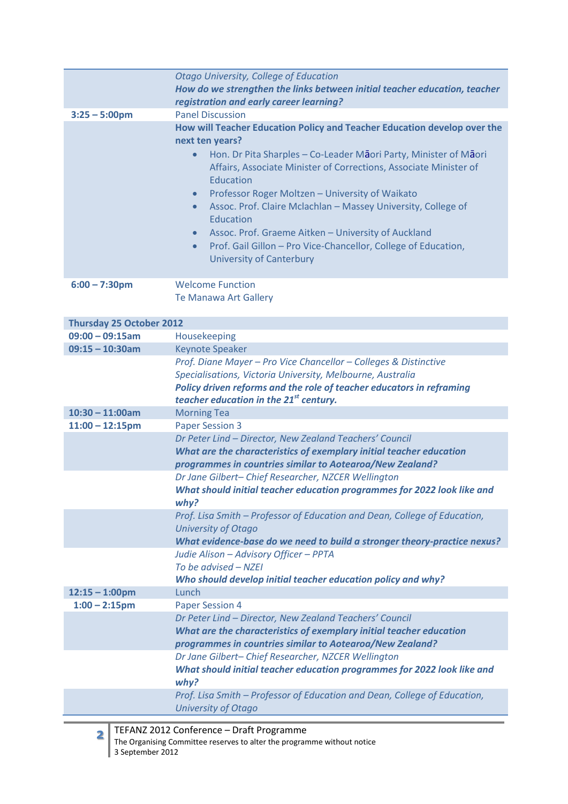|                                 | Otago University, College of Education                                                                                                                                                                                                                                                                                                                                                                                                                                                                                                                                                             |
|---------------------------------|----------------------------------------------------------------------------------------------------------------------------------------------------------------------------------------------------------------------------------------------------------------------------------------------------------------------------------------------------------------------------------------------------------------------------------------------------------------------------------------------------------------------------------------------------------------------------------------------------|
|                                 | How do we strengthen the links between initial teacher education, teacher                                                                                                                                                                                                                                                                                                                                                                                                                                                                                                                          |
|                                 | registration and early career learning?                                                                                                                                                                                                                                                                                                                                                                                                                                                                                                                                                            |
| $3:25 - 5:00$ pm                | <b>Panel Discussion</b>                                                                                                                                                                                                                                                                                                                                                                                                                                                                                                                                                                            |
|                                 | How will Teacher Education Policy and Teacher Education develop over the<br>next ten years?<br>Hon. Dr Pita Sharples - Co-Leader Maori Party, Minister of Maori<br>Affairs, Associate Minister of Corrections, Associate Minister of<br>Education<br>Professor Roger Moltzen - University of Waikato<br>$\bullet$<br>Assoc. Prof. Claire Mclachlan - Massey University, College of<br>$\bullet$<br>Education<br>Assoc. Prof. Graeme Aitken - University of Auckland<br>$\bullet$<br>Prof. Gail Gillon - Pro Vice-Chancellor, College of Education,<br>$\bullet$<br><b>University of Canterbury</b> |
| $6:00 - 7:30$ pm                | <b>Welcome Function</b>                                                                                                                                                                                                                                                                                                                                                                                                                                                                                                                                                                            |
|                                 | <b>Te Manawa Art Gallery</b>                                                                                                                                                                                                                                                                                                                                                                                                                                                                                                                                                                       |
|                                 |                                                                                                                                                                                                                                                                                                                                                                                                                                                                                                                                                                                                    |
| <b>Thursday 25 October 2012</b> |                                                                                                                                                                                                                                                                                                                                                                                                                                                                                                                                                                                                    |
| $09:00 - 09:15am$               | Housekeeping                                                                                                                                                                                                                                                                                                                                                                                                                                                                                                                                                                                       |
| $09:15 - 10:30$ am              | <b>Keynote Speaker</b>                                                                                                                                                                                                                                                                                                                                                                                                                                                                                                                                                                             |
|                                 | Prof. Diane Mayer - Pro Vice Chancellor - Colleges & Distinctive<br>Specialisations, Victoria University, Melbourne, Australia<br>Policy driven reforms and the role of teacher educators in reframing<br>teacher education in the 21 <sup>st</sup> century.                                                                                                                                                                                                                                                                                                                                       |
| $10:30 - 11:00am$               | <b>Morning Tea</b>                                                                                                                                                                                                                                                                                                                                                                                                                                                                                                                                                                                 |
| $11:00 - 12:15$ pm              | <b>Paper Session 3</b>                                                                                                                                                                                                                                                                                                                                                                                                                                                                                                                                                                             |
|                                 | Dr Peter Lind - Director, New Zealand Teachers' Council                                                                                                                                                                                                                                                                                                                                                                                                                                                                                                                                            |
|                                 | What are the characteristics of exemplary initial teacher education                                                                                                                                                                                                                                                                                                                                                                                                                                                                                                                                |
|                                 | programmes in countries similar to Aotearoa/New Zealand?                                                                                                                                                                                                                                                                                                                                                                                                                                                                                                                                           |
|                                 | Dr Jane Gilbert- Chief Researcher, NZCER Wellington                                                                                                                                                                                                                                                                                                                                                                                                                                                                                                                                                |
|                                 | What should initial teacher education programmes for 2022 look like and<br>why?                                                                                                                                                                                                                                                                                                                                                                                                                                                                                                                    |
|                                 | Prof. Lisa Smith - Professor of Education and Dean, College of Education,                                                                                                                                                                                                                                                                                                                                                                                                                                                                                                                          |
|                                 | <b>University of Otago</b>                                                                                                                                                                                                                                                                                                                                                                                                                                                                                                                                                                         |
|                                 | What evidence-base do we need to build a stronger theory-practice nexus?                                                                                                                                                                                                                                                                                                                                                                                                                                                                                                                           |
|                                 | Judie Alison – Advisory Officer – PPTA                                                                                                                                                                                                                                                                                                                                                                                                                                                                                                                                                             |
|                                 | To be advised - NZEI                                                                                                                                                                                                                                                                                                                                                                                                                                                                                                                                                                               |
|                                 | Who should develop initial teacher education policy and why?                                                                                                                                                                                                                                                                                                                                                                                                                                                                                                                                       |
| $12:15 - 1:00$ pm               | Lunch                                                                                                                                                                                                                                                                                                                                                                                                                                                                                                                                                                                              |
| $1:00 - 2:15$ pm                | <b>Paper Session 4</b>                                                                                                                                                                                                                                                                                                                                                                                                                                                                                                                                                                             |
|                                 | Dr Peter Lind - Director, New Zealand Teachers' Council                                                                                                                                                                                                                                                                                                                                                                                                                                                                                                                                            |
|                                 | What are the characteristics of exemplary initial teacher education                                                                                                                                                                                                                                                                                                                                                                                                                                                                                                                                |
|                                 | programmes in countries similar to Aotearoa/New Zealand?                                                                                                                                                                                                                                                                                                                                                                                                                                                                                                                                           |
|                                 | Dr Jane Gilbert- Chief Researcher, NZCER Wellington                                                                                                                                                                                                                                                                                                                                                                                                                                                                                                                                                |
|                                 | What should initial teacher education programmes for 2022 look like and                                                                                                                                                                                                                                                                                                                                                                                                                                                                                                                            |
|                                 | why?<br>Prof. Lisa Smith - Professor of Education and Dean, College of Education,                                                                                                                                                                                                                                                                                                                                                                                                                                                                                                                  |
|                                 | <b>University of Otago</b>                                                                                                                                                                                                                                                                                                                                                                                                                                                                                                                                                                         |
|                                 | TEEANZ 2012 Conference - Draft Programme                                                                                                                                                                                                                                                                                                                                                                                                                                                                                                                                                           |

**2** TEFANZ 2012 Conference – Draft Programme The Organising Committee reserves to alter the programme without notice 3 September 2012